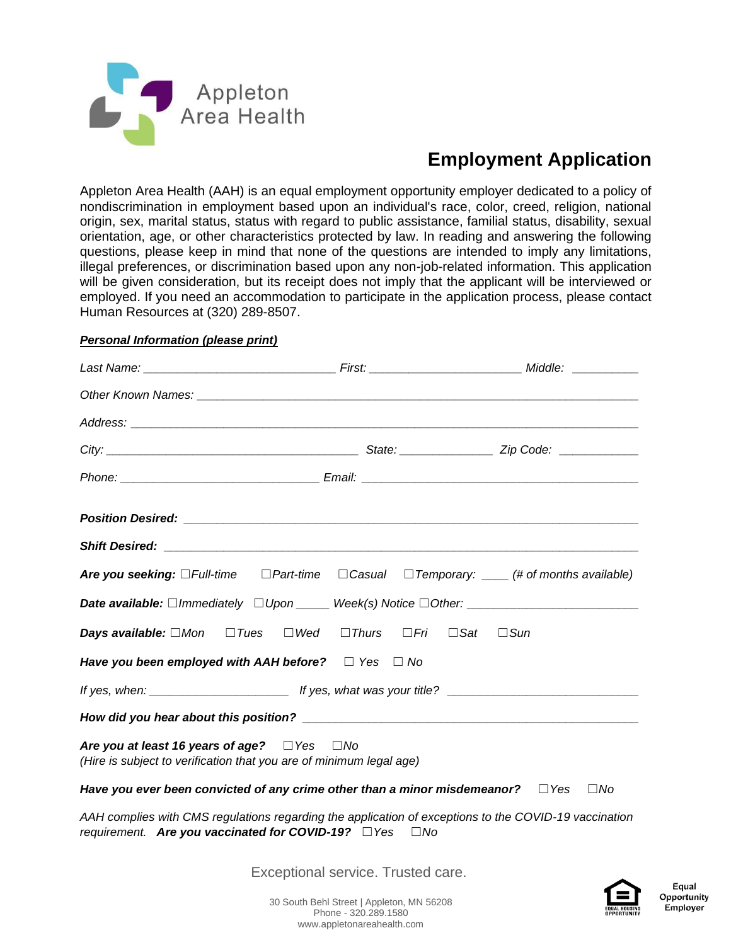

# **Employment Application**

Appleton Area Health (AAH) is an equal employment opportunity employer dedicated to a policy of nondiscrimination in employment based upon an individual's race, color, creed, religion, national origin, sex, marital status, status with regard to public assistance, familial status, disability, sexual orientation, age, or other characteristics protected by law. In reading and answering the following questions, please keep in mind that none of the questions are intended to imply any limitations, illegal preferences, or discrimination based upon any non-job-related information. This application will be given consideration, but its receipt does not imply that the applicant will be interviewed or employed. If you need an accommodation to participate in the application process, please contact Human Resources at (320) 289-8507.

## *Personal Information (please print)*

|                                                                                                                               | Are you seeking: $\Box$ Full-time $\Box$ Part-time $\Box$ Casual $\Box$ Temporary: $\Box$ (# of months available)     |  |
|-------------------------------------------------------------------------------------------------------------------------------|-----------------------------------------------------------------------------------------------------------------------|--|
|                                                                                                                               |                                                                                                                       |  |
|                                                                                                                               | <b>Days available:</b> $\Box$ Mon $\Box$ Tues $\Box$ Wed $\Box$ Thurs $\Box$ Fri $\Box$ Sat $\Box$ Sun                |  |
| Have you been employed with AAH before? $\Box$ Yes $\Box$ No                                                                  |                                                                                                                       |  |
|                                                                                                                               |                                                                                                                       |  |
|                                                                                                                               |                                                                                                                       |  |
| Are you at least 16 years of age? $\Box$ Yes $\Box$ No<br>(Hire is subject to verification that you are of minimum legal age) |                                                                                                                       |  |
|                                                                                                                               | Have you ever been convicted of any crime other than a minor misdemeanor? $\square$ Yes $\square$ No                  |  |
| requirement. Are you vaccinated for COVID-19? DYes                                                                            | AAH complies with CMS regulations regarding the application of exceptions to the COVID-19 vaccination<br>$\square$ No |  |
|                                                                                                                               | Exceptional service. Trusted care.                                                                                    |  |

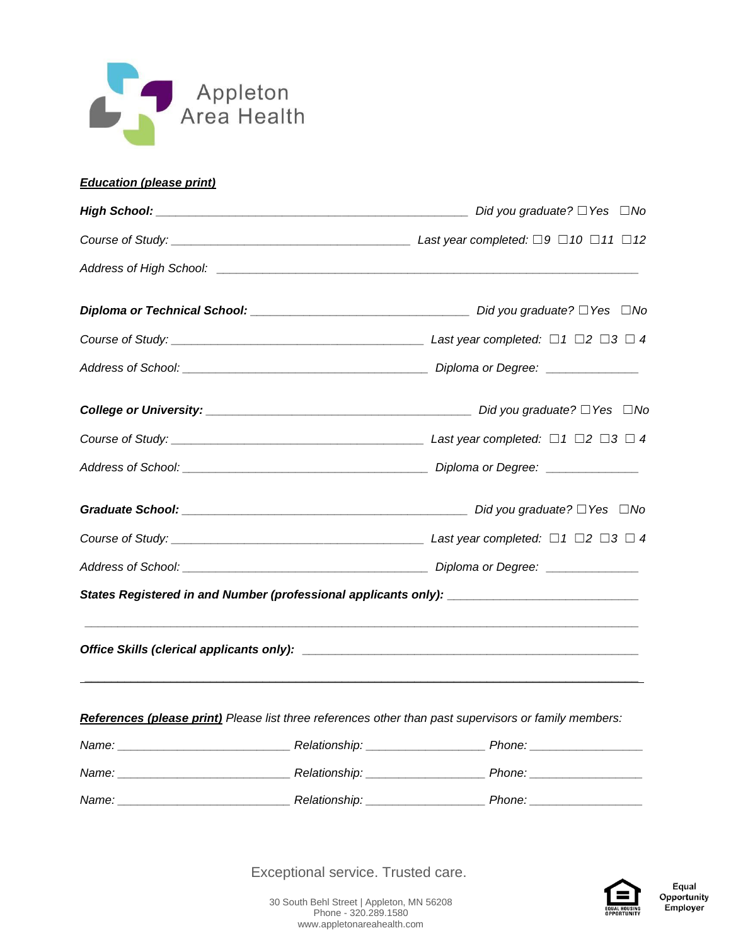

## *Education (please print)*

| Address of High School: <u>[19]</u> Address of High School: 2014 1999 |  |                                                                                                       |  |  |  |  |
|-----------------------------------------------------------------------|--|-------------------------------------------------------------------------------------------------------|--|--|--|--|
|                                                                       |  |                                                                                                       |  |  |  |  |
|                                                                       |  |                                                                                                       |  |  |  |  |
|                                                                       |  |                                                                                                       |  |  |  |  |
|                                                                       |  |                                                                                                       |  |  |  |  |
|                                                                       |  |                                                                                                       |  |  |  |  |
|                                                                       |  |                                                                                                       |  |  |  |  |
|                                                                       |  |                                                                                                       |  |  |  |  |
|                                                                       |  |                                                                                                       |  |  |  |  |
|                                                                       |  |                                                                                                       |  |  |  |  |
|                                                                       |  | States Registered in and Number (professional applicants only): _______________________               |  |  |  |  |
|                                                                       |  |                                                                                                       |  |  |  |  |
|                                                                       |  | References (please print) Please list three references other than past supervisors or family members: |  |  |  |  |
|                                                                       |  |                                                                                                       |  |  |  |  |
|                                                                       |  |                                                                                                       |  |  |  |  |
|                                                                       |  |                                                                                                       |  |  |  |  |

Exceptional service. Trusted care.

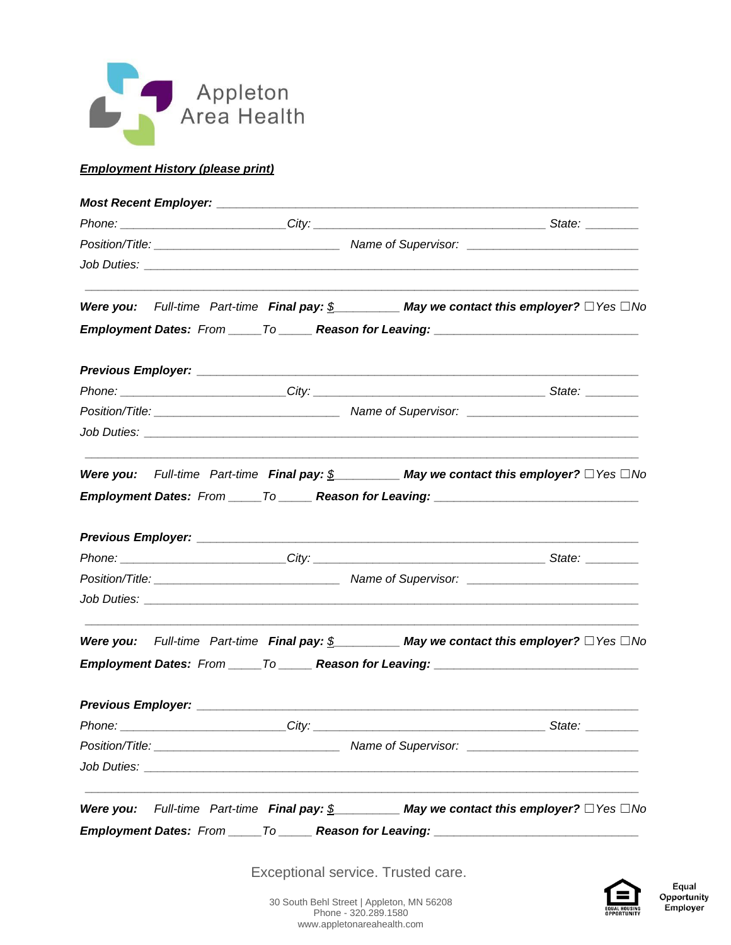

## *Employment History (please print)*

|                                                                    | Were you: Full-time Part-time Final pay: $\S$ May we contact this employer? $\square$ Yes $\square$ No                        |
|--------------------------------------------------------------------|-------------------------------------------------------------------------------------------------------------------------------|
|                                                                    | Employment Dates: From _____ To _____ Reason for Leaving: _______________________                                             |
|                                                                    |                                                                                                                               |
|                                                                    |                                                                                                                               |
|                                                                    |                                                                                                                               |
|                                                                    |                                                                                                                               |
|                                                                    | Were you: Full-time Part-time Final pay: $\frac{\mathcal{S}}{\mathcal{S}}$ May we contact this employer? $\Box$ Yes $\Box$ No |
|                                                                    |                                                                                                                               |
|                                                                    | Employment Dates: From _____ To _____ Reason for Leaving: _______________________                                             |
|                                                                    |                                                                                                                               |
|                                                                    |                                                                                                                               |
|                                                                    |                                                                                                                               |
|                                                                    |                                                                                                                               |
| Job Duties: <u>www.community.community.community.community.com</u> |                                                                                                                               |
|                                                                    | Were you: Full-time Part-time Final pay: $\frac{\mathcal{S}}{\mathcal{S}}$ May we contact this employer? $\Box$ Yes $\Box$ No |
|                                                                    | Employment Dates: From _____ To ______ Reason for Leaving: ______________________                                             |
|                                                                    |                                                                                                                               |
|                                                                    |                                                                                                                               |
|                                                                    |                                                                                                                               |
|                                                                    |                                                                                                                               |
|                                                                    | Were you: Full-time Part-time Final pay: $\frac{\mathcal{S}}{\mathcal{S}}$ May we contact this employer? $\Box$ Yes $\Box$ No |

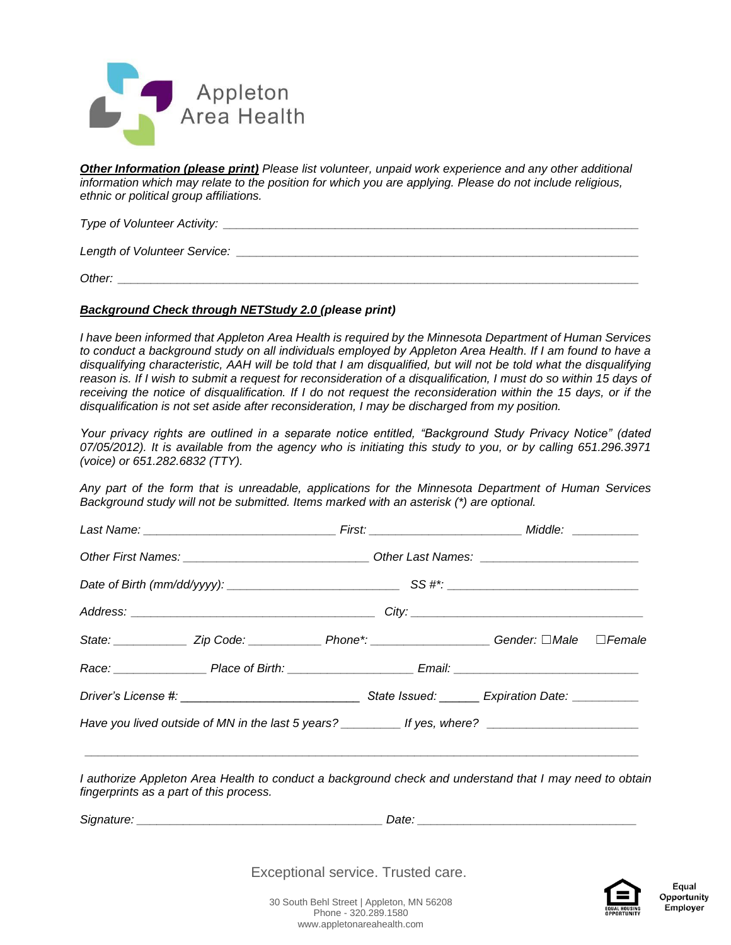

*Other Information (please print) Please list volunteer, unpaid work experience and any other additional information which may relate to the position for which you are applying. Please do not include religious, ethnic or political group affiliations.* 

*Type of Volunteer Activity: \_\_\_\_\_\_\_\_\_\_\_\_\_\_\_\_\_\_\_\_\_\_\_\_\_\_\_\_\_\_\_\_\_\_\_\_\_\_\_\_\_\_\_\_\_\_\_\_\_\_\_\_\_\_\_\_\_\_\_\_\_\_\_*

*Length of Volunteer Service:*  $\blacksquare$ 

*Other: \_\_\_\_\_\_\_\_\_\_\_\_\_\_\_\_\_\_\_\_\_\_\_\_\_\_\_\_\_\_\_\_\_\_\_\_\_\_\_\_\_\_\_\_\_\_\_\_\_\_\_\_\_\_\_\_\_\_\_\_\_\_\_\_\_\_\_\_\_\_\_\_\_\_\_\_\_\_\_*

#### *Background Check through NETStudy 2.0 (please print)*

*I have been informed that Appleton Area Health is required by the Minnesota Department of Human Services to conduct a background study on all individuals employed by Appleton Area Health. If I am found to have a disqualifying characteristic, AAH will be told that I am disqualified, but will not be told what the disqualifying*  reason is. If I wish to submit a request for reconsideration of a disqualification, I must do so within 15 days of receiving the notice of disqualification. If I do not request the reconsideration within the 15 days, or if the *disqualification is not set aside after reconsideration, I may be discharged from my position.* 

*Your privacy rights are outlined in a separate notice entitled, "Background Study Privacy Notice" (dated 07/05/2012). It is available from the agency who is initiating this study to you, or by calling 651.296.3971 (voice) or 651.282.6832 (TTY).* 

*Any part of the form that is unreadable, applications for the Minnesota Department of Human Services Background study will not be submitted. Items marked with an asterisk (\*) are optional.* 

|  |  | State: _____________Zip Code: ______________Phone*: ___________________Gender: □Male □Female         |  |  |
|--|--|------------------------------------------------------------------------------------------------------|--|--|
|  |  |                                                                                                      |  |  |
|  |  |                                                                                                      |  |  |
|  |  | Have you lived outside of MN in the last 5 years? ____________ If yes, where? ______________________ |  |  |
|  |  |                                                                                                      |  |  |

*I authorize Appleton Area Health to conduct a background check and understand that I may need to obtain fingerprints as a part of this process.*

**Signature:** *Signature:* *and the state of the state of the state of the state of the state of the state of the state of the state of the state of the state of the state of the state of the state of the state of the st* 

Exceptional service. Trusted care.